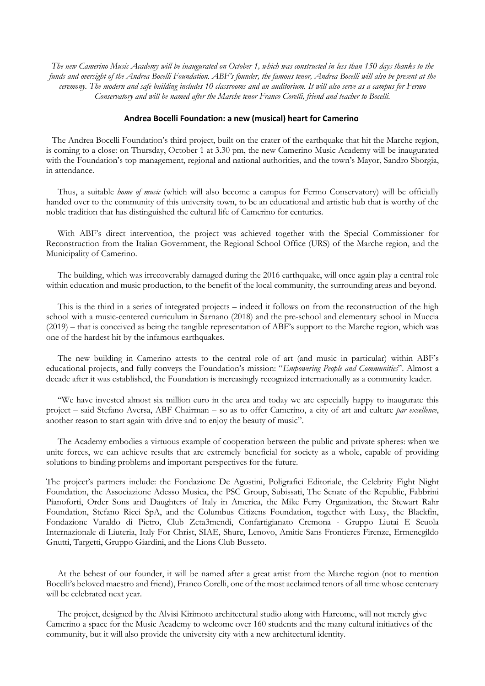*The new Camerino Music Academy will be inaugurated on October 1, which was constructed in less than 150 days thanks to the funds and oversight of the Andrea Bocelli Foundation. ABF's founder, the famous tenor, Andrea Bocelli will also be present at the ceremony. The modern and safe building includes 10 classrooms and an auditorium. It will also serve as a campus for Fermo Conservatory and will be named after the Marche tenor Franco Corelli, friend and teacher to Bocelli.*

## **Andrea Bocelli Foundation: a new (musical) heart for Camerino**

The Andrea Bocelli Foundation's third project, built on the crater of the earthquake that hit the Marche region, is coming to a close: on Thursday, October 1 at 3.30 pm, the new Camerino Music Academy will be inaugurated with the Foundation's top management, regional and national authorities, and the town's Mayor, Sandro Sborgia, in attendance.

Thus, a suitable *home of music* (which will also become a campus for Fermo Conservatory) will be officially handed over to the community of this university town, to be an educational and artistic hub that is worthy of the noble tradition that has distinguished the cultural life of Camerino for centuries.

With ABF's direct intervention, the project was achieved together with the Special Commissioner for Reconstruction from the Italian Government, the Regional School Office (URS) of the Marche region, and the Municipality of Camerino.

The building, which was irrecoverably damaged during the 2016 earthquake, will once again play a central role within education and music production, to the benefit of the local community, the surrounding areas and beyond.

This is the third in a series of integrated projects – indeed it follows on from the reconstruction of the high school with a music-centered curriculum in Sarnano (2018) and the pre-school and elementary school in Muccia (2019) – that is conceived as being the tangible representation of ABF's support to the Marche region, which was one of the hardest hit by the infamous earthquakes.

The new building in Camerino attests to the central role of art (and music in particular) within ABF's educational projects, and fully conveys the Foundation's mission: "*Empowering People and Communities*". Almost a decade after it was established, the Foundation is increasingly recognized internationally as a community leader.

"We have invested almost six million euro in the area and today we are especially happy to inaugurate this project – said Stefano Aversa, ABF Chairman – so as to offer Camerino, a city of art and culture *par excellence*, another reason to start again with drive and to enjoy the beauty of music".

The Academy embodies a virtuous example of cooperation between the public and private spheres: when we unite forces, we can achieve results that are extremely beneficial for society as a whole, capable of providing solutions to binding problems and important perspectives for the future.

The project's partners include: the Fondazione De Agostini, Poligrafici Editoriale, the Celebrity Fight Night Foundation, the Associazione Adesso Musica, the PSC Group, Subissati, The Senate of the Republic, Fabbrini Pianoforti, Order Sons and Daughters of Italy in America, the Mike Ferry Organization, the Stewart Rahr Foundation, Stefano Ricci SpA, and the Columbus Citizens Foundation, together with Luxy, the Blackfin, Fondazione Varaldo di Pietro, Club Zeta3mendi, Confartigianato Cremona - Gruppo Liutai E Scuola Internazionale di Liuteria, Italy For Christ, SIAE, Shure, Lenovo, Amitie Sans Frontieres Firenze, Ermenegildo Gnutti, Targetti, Gruppo Giardini, and the Lions Club Busseto.

At the behest of our founder, it will be named after a great artist from the Marche region (not to mention Bocelli's beloved maestro and friend), Franco Corelli, one of the most acclaimed tenors of all time whose centenary will be celebrated next year.

The project, designed by the Alvisi Kirimoto architectural studio along with Harcome, will not merely give Camerino a space for the Music Academy to welcome over 160 students and the many cultural initiatives of the community, but it will also provide the university city with a new architectural identity.